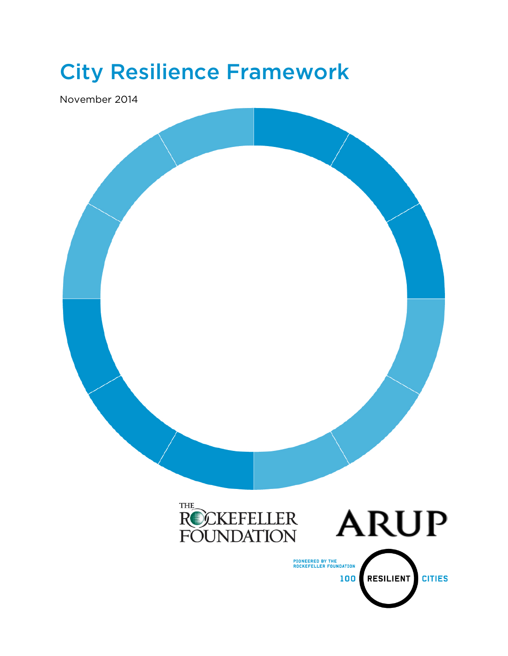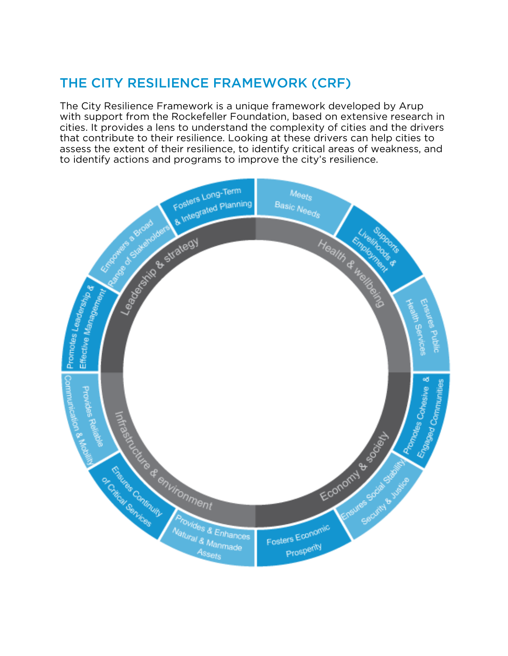## THE CITY RESILIENCE FRAMEWORK (CRF)

The City Resilience Framework is a unique framework developed by Arup with support from the Rockefeller Foundation, based on extensive research in cities. It provides a lens to understand the complexity of cities and the drivers that contribute to their resilience. Looking at these drivers can help cities to assess the extent of their resilience, to identify critical areas of weakness, and to identify actions and programs to improve the city's resilience.

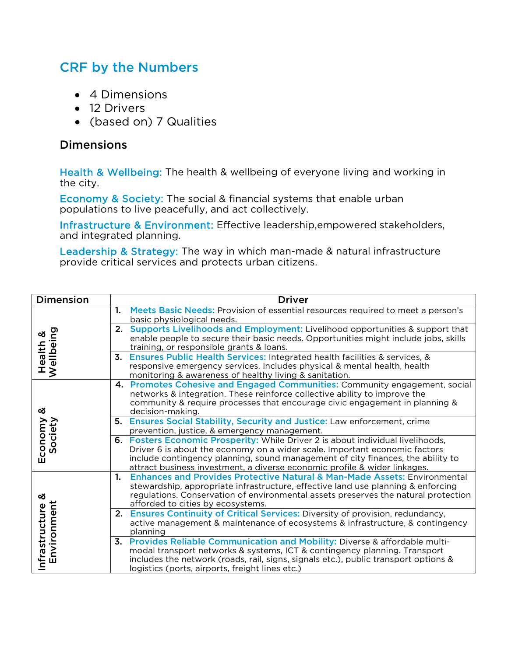## CRF by the Numbers

- 4 Dimensions
- 12 Drivers
- (based on) 7 Qualities

## Dimensions

Health & Wellbeing: The health & wellbeing of everyone living and working in the city.

Economy & Society: The social & financial systems that enable urban populations to live peacefully, and act collectively.

Infrastructure & Environment: Effective leadership,empowered stakeholders, and integrated planning.

Leadership & Strategy: The way in which man-made & natural infrastructure provide critical services and protects urban citizens.

| <b>Dimension</b>                   | <b>Driver</b>                                                                                                                                                                                                                                                                                                                 |
|------------------------------------|-------------------------------------------------------------------------------------------------------------------------------------------------------------------------------------------------------------------------------------------------------------------------------------------------------------------------------|
| Health &<br>Wellbeing              | Meets Basic Needs: Provision of essential resources required to meet a person's<br>1.<br>basic physiological needs.                                                                                                                                                                                                           |
|                                    | 2. Supports Livelihoods and Employment: Livelihood opportunities & support that<br>enable people to secure their basic needs. Opportunities might include jobs, skills<br>training, or responsible grants & loans.                                                                                                            |
|                                    | 3.<br><b>Ensures Public Health Services: Integrated health facilities &amp; services, &amp;</b><br>responsive emergency services. Includes physical & mental health, health<br>monitoring & awareness of healthy living & sanitation.                                                                                         |
| య<br>Society<br>Economy            | 4. Promotes Cohesive and Engaged Communities: Community engagement, social<br>networks & integration. These reinforce collective ability to improve the<br>community & require processes that encourage civic engagement in planning &<br>decision-making.                                                                    |
|                                    | Ensures Social Stability, Security and Justice: Law enforcement, crime<br>5.<br>prevention, justice, & emergency management.                                                                                                                                                                                                  |
|                                    | 6. Fosters Economic Prosperity: While Driver 2 is about individual livelihoods,<br>Driver 6 is about the economy on a wider scale. Important economic factors<br>include contingency planning, sound management of city finances, the ability to<br>attract business investment, a diverse economic profile & wider linkages. |
| య<br>Infrastructure<br>Environment | <b>Enhances and Provides Protective Natural &amp; Man-Made Assets: Environmental</b><br>1.<br>stewardship, appropriate infrastructure, effective land use planning & enforcing<br>regulations. Conservation of environmental assets preserves the natural protection<br>afforded to cities by ecosystems.                     |
|                                    | 2. Ensures Continuity of Critical Services: Diversity of provision, redundancy,<br>active management & maintenance of ecosystems & infrastructure, & contingency<br>planning                                                                                                                                                  |
|                                    | 3. Provides Reliable Communication and Mobility: Diverse & affordable multi-<br>modal transport networks & systems, ICT & contingency planning. Transport<br>includes the network (roads, rail, signs, signals etc.), public transport options &<br>logistics (ports, airports, freight lines etc.)                           |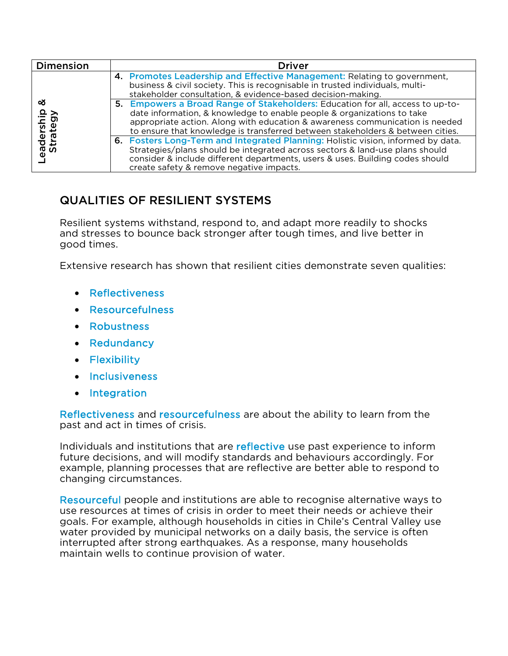| Dimension                  | Driver                                                                                                                                                                                                                                                                                                                     |
|----------------------------|----------------------------------------------------------------------------------------------------------------------------------------------------------------------------------------------------------------------------------------------------------------------------------------------------------------------------|
| య<br>eadership<br>Strategy | 4. Promotes Leadership and Effective Management: Relating to government,<br>business & civil society. This is recognisable in trusted individuals, multi-<br>stakeholder consultation, & evidence-based decision-making.                                                                                                   |
|                            | 5. Empowers a Broad Range of Stakeholders: Education for all, access to up-to-<br>date information, & knowledge to enable people & organizations to take<br>appropriate action. Along with education & awareness communication is needed<br>to ensure that knowledge is transferred between stakeholders & between cities. |
|                            | 6. Fosters Long-Term and Integrated Planning: Holistic vision, informed by data.<br>Strategies/plans should be integrated across sectors & land-use plans should<br>consider & include different departments, users & uses. Building codes should<br>create safety & remove negative impacts.                              |

## QUALITIES OF RESILIENT SYSTEMS

Resilient systems withstand, respond to, and adapt more readily to shocks and stresses to bounce back stronger after tough times, and live better in good times.

Extensive research has shown that resilient cities demonstrate seven qualities:

- Reflectiveness
- Resourcefulness
- Robustness
- Redundancy
- Flexibility
- Inclusiveness
- Integration

Reflectiveness and resourcefulness are about the ability to learn from the past and act in times of crisis.

Individuals and institutions that are reflective use past experience to inform future decisions, and will modify standards and behaviours accordingly. For example, planning processes that are reflective are better able to respond to changing circumstances.

Resourceful people and institutions are able to recognise alternative ways to use resources at times of crisis in order to meet their needs or achieve their goals. For example, although households in cities in Chile's Central Valley use water provided by municipal networks on a daily basis, the service is often interrupted after strong earthquakes. As a response, many households maintain wells to continue provision of water.